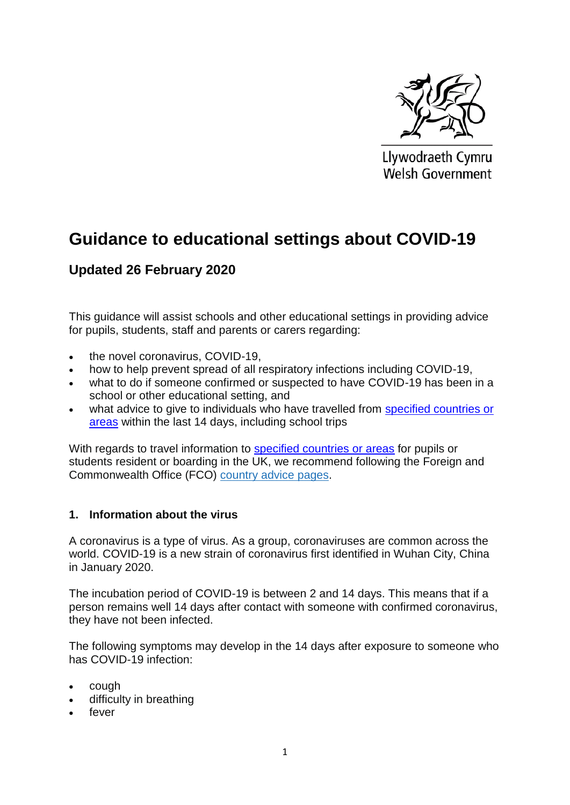

Llywodraeth Cymru Welsh Government

# **Guidance to educational settings about COVID-19**

# **Updated 26 February 2020**

This guidance will assist schools and other educational settings in providing advice for pupils, students, staff and parents or carers regarding:

- the novel coronavirus, COVID-19,
- how to help prevent spread of all respiratory infections including COVID-19,
- what to do if someone confirmed or suspected to have COVID-19 has been in a school or other educational setting, and
- what advice to give to individuals who have travelled from specified countries or [areas](https://www.gov.uk/government/publications/covid-19-specified-countries-and-areas) within the last 14 days, including school trips

With regards to travel information to [specified countries or areas](https://www.gov.uk/government/publications/covid-19-specified-countries-and-areas) for pupils or students resident or boarding in the UK, we recommend following the Foreign and Commonwealth Office (FCO) [country](https://www.gov.uk/foreign-travel-advice) advice pages.

# **1. Information about the virus**

A coronavirus is a type of virus. As a group, coronaviruses are common across the world. COVID-19 is a new strain of coronavirus first identified in Wuhan City, China in January 2020.

The incubation period of COVID-19 is between 2 and 14 days. This means that if a person remains well 14 days after contact with someone with confirmed coronavirus, they have not been infected.

The following symptoms may develop in the 14 days after exposure to someone who has COVID-19 infection:

- cough
- difficulty in breathing
- fever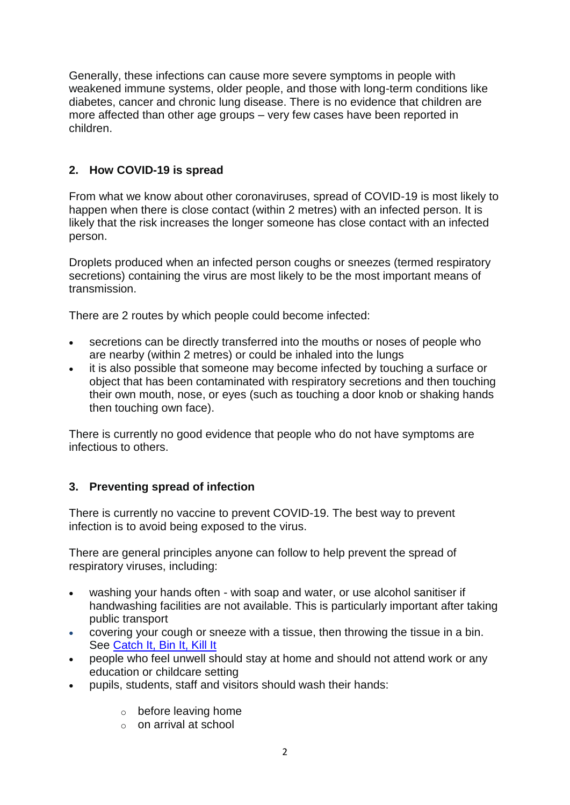Generally, these infections can cause more severe symptoms in people with weakened immune systems, older people, and those with long-term conditions like diabetes, cancer and chronic lung disease. There is no evidence that children are more affected than other age groups – very few cases have been reported in children.

# **2. How COVID-19 is spread**

From what we know about other coronaviruses, spread of COVID-19 is most likely to happen when there is close contact (within 2 metres) with an infected person. It is likely that the risk increases the longer someone has close contact with an infected person.

Droplets produced when an infected person coughs or sneezes (termed respiratory secretions) containing the virus are most likely to be the most important means of transmission.

There are 2 routes by which people could become infected:

- secretions can be directly transferred into the mouths or noses of people who are nearby (within 2 metres) or could be inhaled into the lungs
- it is also possible that someone may become infected by touching a surface or object that has been contaminated with respiratory secretions and then touching their own mouth, nose, or eyes (such as touching a door knob or shaking hands then touching own face).

There is currently no good evidence that people who do not have symptoms are infectious to others.

# **3. Preventing spread of infection**

There is currently no vaccine to prevent COVID-19. The best way to prevent infection is to avoid being exposed to the virus.

There are general principles anyone can follow to help prevent the spread of respiratory viruses, including:

- washing your hands often with soap and water, or use alcohol sanitiser if handwashing facilities are not available. This is particularly important after taking public transport
- covering your cough or sneeze with a tissue, then throwing the tissue in a bin. See [Catch It, Bin It, Kill It](https://phw.nhs.wales/topics/coronavirus/advice-posters-12-02-2020/coronavirus-topics-page-cibiki-english-poster/)
- people who feel unwell should stay at home and should not attend work or any education or childcare setting
- pupils, students, staff and visitors should wash their hands:
	- o before leaving home
	- o on arrival at school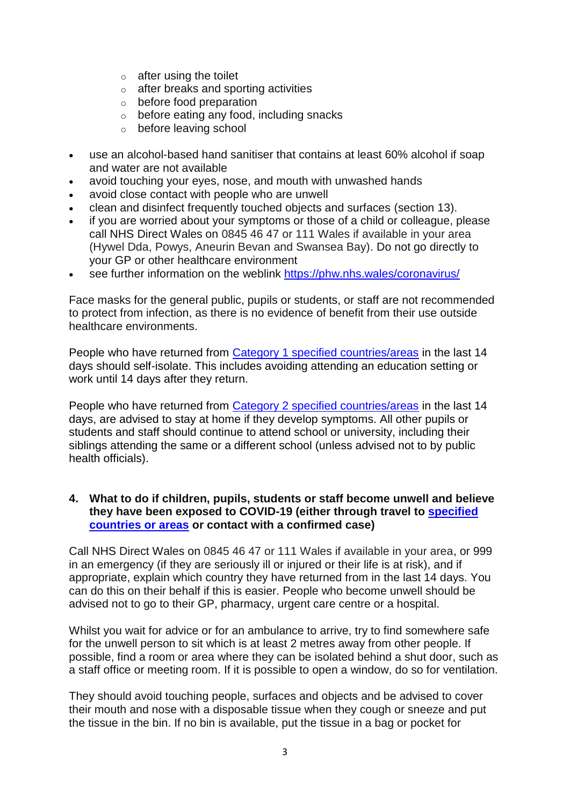- $\circ$  after using the toilet
- o after breaks and sporting activities
- o before food preparation
- o before eating any food, including snacks
- o before leaving school
- use an alcohol-based hand sanitiser that contains at least 60% alcohol if soap and water are not available
- avoid touching your eyes, nose, and mouth with unwashed hands
- avoid close contact with people who are unwell
- clean and disinfect frequently touched objects and surfaces (section 13).
- if you are worried about your symptoms or those of a child or colleague, please call NHS Direct Wales on 0845 46 47 or 111 Wales if available in your area (Hywel Dda, Powys, Aneurin Bevan and Swansea Bay). Do not go directly to your GP or other healthcare environment
- see further information on the weblink<https://phw.nhs.wales/coronavirus/>

Face masks for the general public, pupils or students, or staff are not recommended to protect from infection, as there is no evidence of benefit from their use outside healthcare environments.

People who have returned from [Category 1 specified countries/areas](https://www.gov.uk/government/publications/covid-19-specified-countries-and-areas) in the last 14 days should self-isolate. This includes avoiding attending an education setting or work until 14 days after they return.

People who have returned from [Category 2 specified countries/areas](https://www.gov.uk/government/publications/covid-19-specified-countries-and-areas) in the last 14 days, are advised to stay at home if they develop symptoms. All other pupils or students and staff should continue to attend school or university, including their siblings attending the same or a different school (unless advised not to by public health officials).

# **4. What to do if children, pupils, students or staff become unwell and believe they have been exposed to COVID-19 (either through travel to [specified](https://www.gov.uk/government/publications/covid-19-specified-countries-and-areas)  [countries or areas](https://www.gov.uk/government/publications/covid-19-specified-countries-and-areas) or contact with a confirmed case)**

Call NHS Direct Wales on 0845 46 47 or 111 Wales if available in your area, or 999 in an emergency (if they are seriously ill or injured or their life is at risk), and if appropriate, explain which country they have returned from in the last 14 days. You can do this on their behalf if this is easier. People who become unwell should be advised not to go to their GP, pharmacy, urgent care centre or a hospital.

Whilst you wait for advice or for an ambulance to arrive, try to find somewhere safe for the unwell person to sit which is at least 2 metres away from other people. If possible, find a room or area where they can be isolated behind a shut door, such as a staff office or meeting room. If it is possible to open a window, do so for ventilation.

They should avoid touching people, surfaces and objects and be advised to cover their mouth and nose with a disposable tissue when they cough or sneeze and put the tissue in the bin. If no bin is available, put the tissue in a bag or pocket for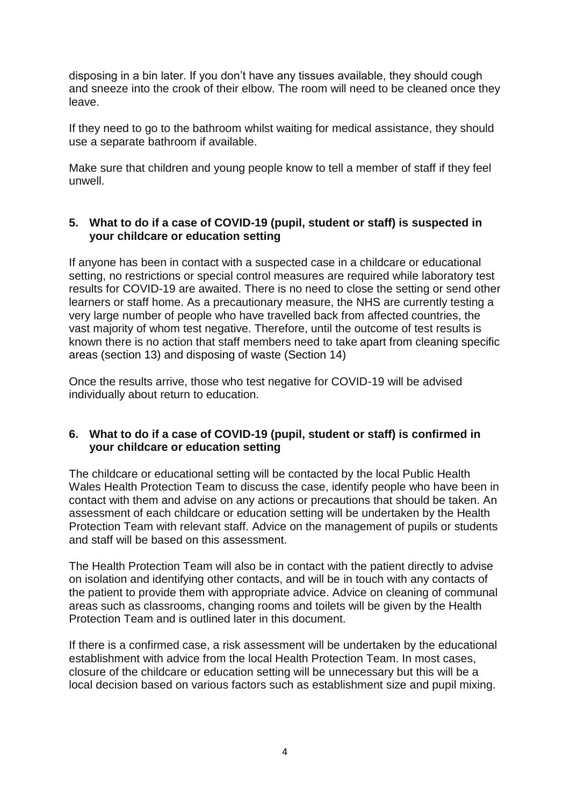disposing in a bin later. If you don't have any tissues available, they should cough and sneeze into the crook of their elbow. The room will need to be cleaned once they leave.

If they need to go to the bathroom whilst waiting for medical assistance, they should use a separate bathroom if available.

Make sure that children and young people know to tell a member of staff if they feel unwell.

# **5. What to do if a case of COVID-19 (pupil, student or staff) is suspected in your childcare or education setting**

If anyone has been in contact with a suspected case in a childcare or educational setting, no restrictions or special control measures are required while laboratory test results for COVID-19 are awaited. There is no need to close the setting or send other learners or staff home. As a precautionary measure, the NHS are currently testing a very large number of people who have travelled back from affected countries, the vast majority of whom test negative. Therefore, until the outcome of test results is known there is no action that staff members need to take apart from cleaning specific areas (section 13) and disposing of waste (Section 14)

Once the results arrive, those who test negative for COVID-19 will be advised individually about return to education.

# **6. What to do if a case of COVID-19 (pupil, student or staff) is confirmed in your childcare or education setting**

The childcare or educational setting will be contacted by the local Public Health Wales Health Protection Team to discuss the case, identify people who have been in contact with them and advise on any actions or precautions that should be taken. An assessment of each childcare or education setting will be undertaken by the Health Protection Team with relevant staff. Advice on the management of pupils or students and staff will be based on this assessment.

The Health Protection Team will also be in contact with the patient directly to advise on isolation and identifying other contacts, and will be in touch with any contacts of the patient to provide them with appropriate advice. Advice on cleaning of communal areas such as classrooms, changing rooms and toilets will be given by the Health Protection Team and is outlined later in this document.

If there is a confirmed case, a risk assessment will be undertaken by the educational establishment with advice from the local Health Protection Team. In most cases, closure of the childcare or education setting will be unnecessary but this will be a local decision based on various factors such as establishment size and pupil mixing.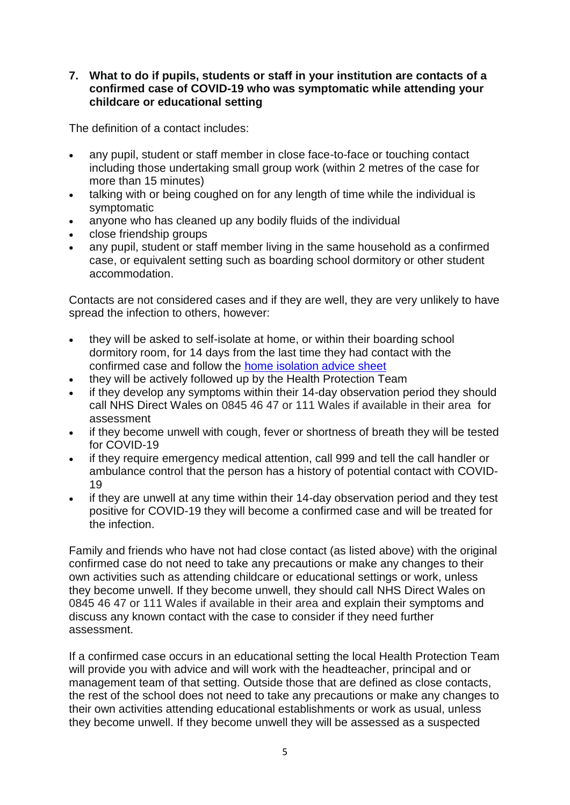# **7. What to do if pupils, students or staff in your institution are contacts of a confirmed case of COVID-19 who was symptomatic while attending your childcare or educational setting**

The definition of a contact includes:

- any pupil, student or staff member in close face-to-face or touching contact including those undertaking small group work (within 2 metres of the case for more than 15 minutes)
- talking with or being coughed on for any length of time while the individual is symptomatic
- anyone who has cleaned up any bodily fluids of the individual
- close friendship groups
- any pupil, student or staff member living in the same household as a confirmed case, or equivalent setting such as boarding school dormitory or other student accommodation.

Contacts are not considered cases and if they are well, they are very unlikely to have spread the infection to others, however:

- they will be asked to self-isolate at home, or within their boarding school dormitory room, for 14 days from the last time they had contact with the confirmed case and follow the [home isolation advice sheet](https://phw.nhs.wales/topics/coronavirus/self-isolation-advice/)
- they will be actively followed up by the Health Protection Team
- if they develop any symptoms within their 14-day observation period they should call NHS Direct Wales on 0845 46 47 or 111 Wales if available in their area for assessment
- if they become unwell with cough, fever or shortness of breath they will be tested for COVID-19
- if they require emergency medical attention, call 999 and tell the call handler or ambulance control that the person has a history of potential contact with COVID-19
- if they are unwell at any time within their 14-day observation period and they test positive for COVID-19 they will become a confirmed case and will be treated for the infection.

Family and friends who have not had close contact (as listed above) with the original confirmed case do not need to take any precautions or make any changes to their own activities such as attending childcare or educational settings or work, unless they become unwell. If they become unwell, they should call NHS Direct Wales on 0845 46 47 or 111 Wales if available in their area and explain their symptoms and discuss any known contact with the case to consider if they need further assessment.

If a confirmed case occurs in an educational setting the local Health Protection Team will provide you with advice and will work with the headteacher, principal and or management team of that setting. Outside those that are defined as close contacts, the rest of the school does not need to take any precautions or make any changes to their own activities attending educational establishments or work as usual, unless they become unwell. If they become unwell they will be assessed as a suspected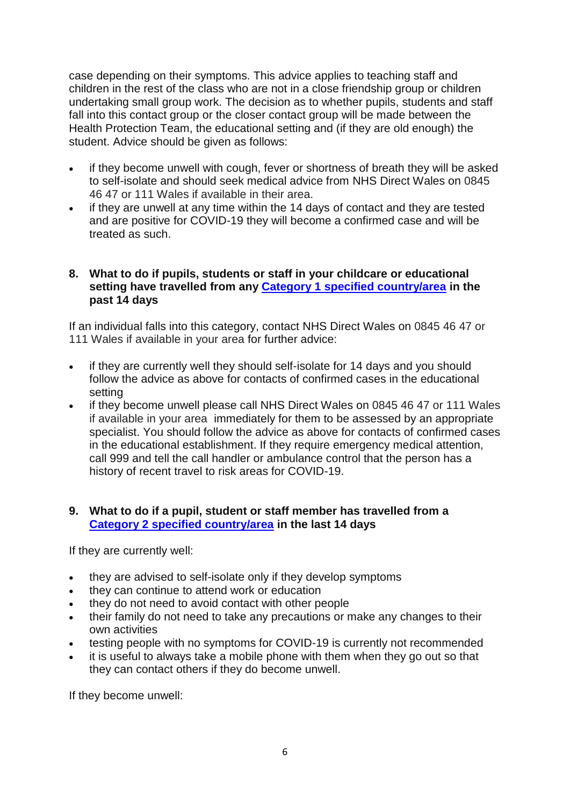case depending on their symptoms. This advice applies to teaching staff and children in the rest of the class who are not in a close friendship group or children undertaking small group work. The decision as to whether pupils, students and staff fall into this contact group or the closer contact group will be made between the Health Protection Team, the educational setting and (if they are old enough) the student. Advice should be given as follows:

- if they become unwell with cough, fever or shortness of breath they will be asked to self-isolate and should seek medical advice from NHS Direct Wales on 0845 46 47 or 111 Wales if available in their area.
- if they are unwell at any time within the 14 days of contact and they are tested and are positive for COVID-19 they will become a confirmed case and will be treated as such.

# **8. What to do if pupils, students or staff in your childcare or educational setting have travelled from any [Category 1 specified country/area](https://www.gov.uk/government/publications/covid-19-specified-countries-and-areas) in the past 14 days**

If an individual falls into this category, contact NHS Direct Wales on 0845 46 47 or 111 Wales if available in your area for further advice:

- if they are currently well they should self-isolate for 14 days and you should follow the advice as above for contacts of confirmed cases in the educational setting
- if they become unwell please call NHS Direct Wales on 0845 46 47 or 111 Wales if available in your area immediately for them to be assessed by an appropriate specialist. You should follow the advice as above for contacts of confirmed cases in the educational establishment. If they require emergency medical attention, call 999 and tell the call handler or ambulance control that the person has a history of recent travel to risk areas for COVID-19.

# **9. What to do if a pupil, student or staff member has travelled from a [Category 2 specified country/area](https://www.gov.uk/government/publications/covid-19-specified-countries-and-areas) in the last 14 days**

If they are currently well:

- they are advised to self-isolate only if they develop symptoms
- they can continue to attend work or education
- they do not need to avoid contact with other people
- their family do not need to take any precautions or make any changes to their own activities
- testing people with no symptoms for COVID-19 is currently not recommended
- it is useful to always take a mobile phone with them when they go out so that they can contact others if they do become unwell.

If they become unwell: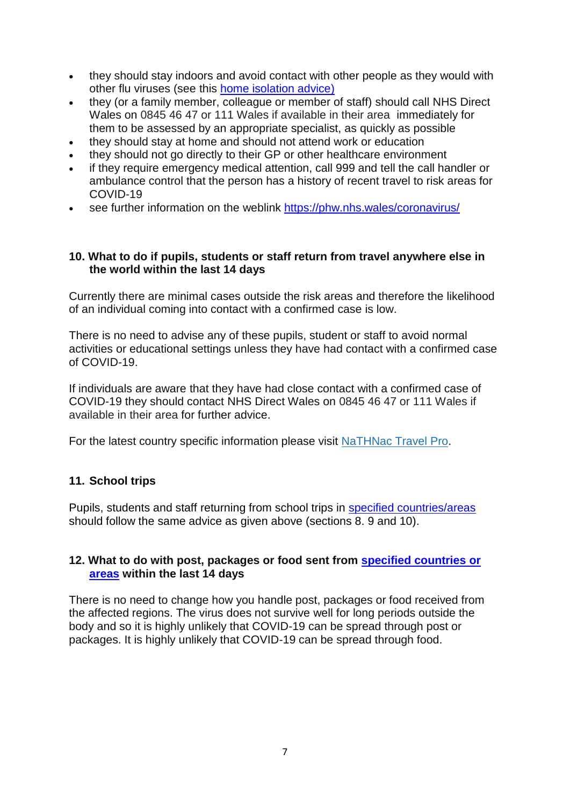- they should stay indoors and avoid contact with other people as they would with other flu viruses (see this [home isolation advice\)](https://phw.nhs.wales/topics/coronavirus/self-isolation-advice/)
- they (or a family member, colleague or member of staff) should call NHS Direct Wales on 0845 46 47 or 111 Wales if available in their area immediately for them to be assessed by an appropriate specialist, as quickly as possible
- they should stay at home and should not attend work or education
- they should not go directly to their GP or other healthcare environment
- if they require emergency medical attention, call 999 and tell the call handler or ambulance control that the person has a history of recent travel to risk areas for COVID-19
- see further information on the weblink<https://phw.nhs.wales/coronavirus/>

# **10. What to do if pupils, students or staff return from travel anywhere else in the world within the last 14 days**

Currently there are minimal cases outside the risk areas and therefore the likelihood of an individual coming into contact with a confirmed case is low.

There is no need to advise any of these pupils, student or staff to avoid normal activities or educational settings unless they have had contact with a confirmed case of COVID-19.

If individuals are aware that they have had close contact with a confirmed case of COVID-19 they should contact NHS Direct Wales on 0845 46 47 or 111 Wales if available in their area for further advice.

For the latest country specific information please visit [NaTHNac](https://travelhealthpro.org.uk/countries) Travel Pro.

# **11. School trips**

Pupils, students and staff returning from school trips in [specified countries/areas](https://www.gov.uk/government/publications/covid-19-specified-countries-and-areas) should follow the same advice as given above (sections 8. 9 and 10).

# **12. What to do with post, packages or food sent from [specified countries or](https://www.gov.uk/government/publications/covid-19-specified-countries-and-areas)  [areas](https://www.gov.uk/government/publications/covid-19-specified-countries-and-areas) within the last 14 days**

There is no need to change how you handle post, packages or food received from the affected regions. The virus does not survive well for long periods outside the body and so it is highly unlikely that COVID-19 can be spread through post or packages. It is highly unlikely that COVID-19 can be spread through food.